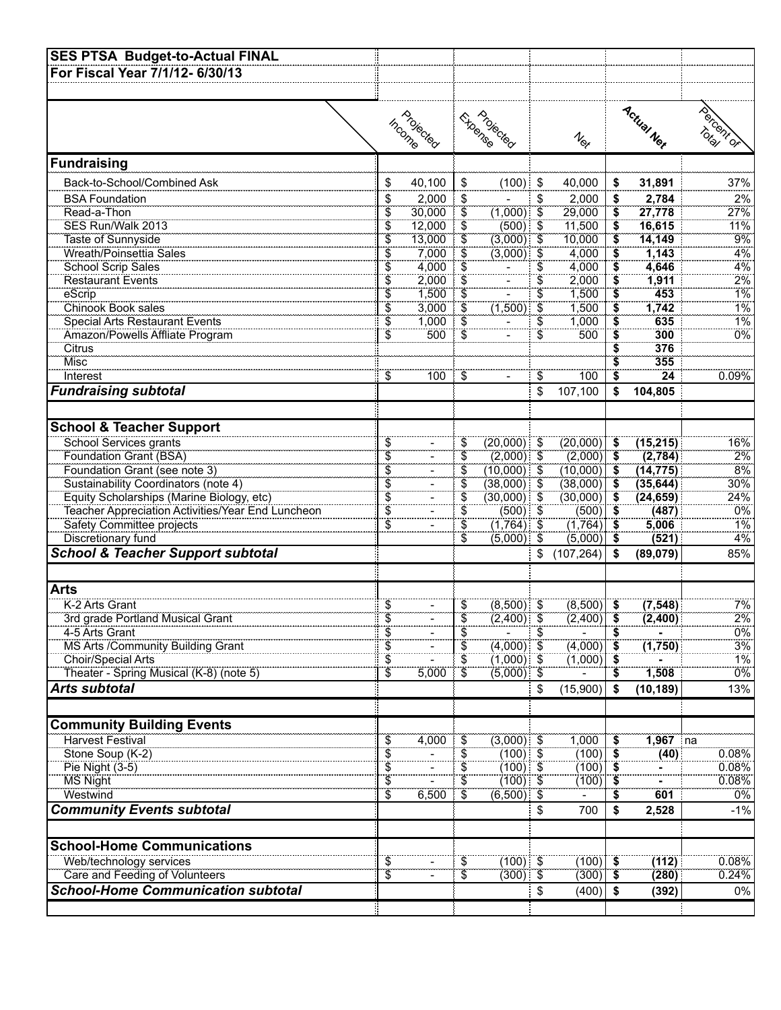| <b>SES PTSA Budget-to-Actual FINAL</b>            |                            |           |                                     |                   |                  |                                    |                               |            |          |
|---------------------------------------------------|----------------------------|-----------|-------------------------------------|-------------------|------------------|------------------------------------|-------------------------------|------------|----------|
| For Fiscal Year 7/1/12-6/30/13                    |                            |           |                                     |                   |                  |                                    |                               |            |          |
|                                                   |                            |           |                                     |                   |                  |                                    |                               |            |          |
|                                                   |                            |           |                                     |                   |                  |                                    |                               |            |          |
|                                                   |                            | Projected |                                     | <b>Experience</b> |                  |                                    |                               | Actual Nex | Todom of |
|                                                   |                            |           |                                     |                   |                  |                                    |                               |            |          |
|                                                   |                            | Income    |                                     |                   |                  | $\textbf{1}_{\text{R}_{\text{F}}}$ |                               |            |          |
| Fundraising                                       |                            |           |                                     |                   |                  |                                    |                               |            |          |
|                                                   |                            |           |                                     |                   |                  |                                    |                               |            |          |
| Back-to-School/Combined Ask                       | \$                         | 40,100    | \$                                  | $(100)$ \$        |                  | 40,000                             | \$                            | 31,891     | 37%      |
| <b>BSA Foundation</b>                             | \$                         | 2.000     | \$                                  |                   | \$               | 2,000                              | \$                            | 2,784      | 2%       |
| Read-a-Thon                                       | \$                         | 30,000    | $\overline{\mathfrak{s}}$           | $(1,000)$ \$      |                  | 29,000                             | $\overline{\mathbf{s}}$       | 27,778     | 27%      |
| SES Run/Walk 2013                                 | \$                         | 12,000    | $\overline{\$}$                     | $(500)$ \$        |                  | 11,500                             | \$                            | 16,615     | 11%      |
| Taste of Sunnyside                                | \$Ï                        | 13,000    | \$                                  | $(3,000)$ \$      |                  | 10,000                             | \$                            | 14,149     | 9%       |
| Wreath/Poinsettia Sales                           | $\overline{\$}$            | 7,000     | $\ddot{\$}$                         | $(3,000)$ \$      |                  | 4,000                              | \$                            | 1,143      | 4%       |
| School Scrip Sales                                | \$                         | 4,000     | \$                                  |                   | S                | 4,000                              | $\overline{\mathbf{s}}$       | 4,646      | 4%       |
| <b>Restaurant Events</b>                          | $\widetilde{\$}$           | 2,000     | É,                                  |                   | $\overline{\$}$  | 2,000                              | $\widetilde{\$}$              | 1,911      | 2%       |
| eScrip                                            | \$                         | 1,500     | \$<br>$\overline{\hat{\mathsf{s}}}$ |                   | \$               | 1,500                              | \$                            | 453        | $1\%$    |
| Chinook Book sales                                | $\ddot{\$}$                | 3,000     | $\overline{\$}$                     | (1,500)           | \$               | 1,500                              | \$                            | 1,742      | 1%       |
| Special Arts Restaurant Events                    | Ŝ.<br>$\widetilde{\$}$     | 1,000     | $\widetilde{\mathfrak{s}}$          |                   | \$               | 1,000                              | \$                            | 635<br>300 | 1%       |
| Amazon/Powells Affliate Program<br>Citrus         |                            | 500       |                                     |                   | $\widetilde{\$}$ | 500                                | $\overline{\mathbf{S}}$<br>\$ | 376        | 0%       |
| Misc                                              |                            |           |                                     |                   |                  |                                    |                               | 355        |          |
| Interest                                          | \$                         | 100       | \$                                  |                   | \$               | 100                                | \$<br>\$                      | 24         | 0.09%    |
|                                                   |                            |           |                                     |                   |                  |                                    |                               |            |          |
| <b>Fundraising subtotal</b>                       |                            |           |                                     |                   | \$               | 107,100                            | \$                            | 104,805    |          |
|                                                   |                            |           |                                     |                   |                  |                                    |                               |            |          |
| <b>School &amp; Teacher Support</b>               |                            |           |                                     |                   |                  |                                    |                               |            |          |
| School Services grants                            | \$                         |           | \$                                  | $(20,000)$ \$     |                  | $(20,000)$ \$                      |                               | (15, 215)  | 16%      |
| Foundation Grant (BSA)                            | $\widetilde{\$}$           |           | $\overline{\$}$                     | $(2,000)$ \$      |                  | $(2,000)$ \$                       |                               | (2,784)    | 2%       |
| Foundation Grant (see note 3)                     | \$                         |           | \$                                  | $(10,000)$ \$     |                  | (10,000)                           | $\overline{\bullet}$          | (14, 775)  | 8%       |
| Sustainability Coordinators (note 4)              | $\ddot{\$}$                |           | $\ddot{\tilde{\$}}$                 | $(38,000)$ \$     |                  | (38,000)                           | ∣\$                           | (35, 644)  | $30\%$   |
| Equity Scholarships (Marine Biology, etc)         | $\overline{\$}$            |           | $\overline{\$}$                     | $(30,000)$ \$     |                  | (30,000)                           | ีริ                           | (24, 659)  | 24%      |
| Teacher Appreciation Activities/Year End Luncheon | $\overline{\$}$            |           | $\widetilde{\$}$                    | $(500)$ \$        |                  | (500)                              | ิริ                           | (487)      | 0%       |
| <b>Safety Committee projects</b>                  | $\overline{\$}$            |           | $\ddot{\$}$                         | $(1,764)$ \$      |                  | (1,764)                            | $\overline{\ }$               | 5,006      | $1\%$    |
| Discretionary fund                                |                            |           | \$                                  | $(5,000)$ \$      |                  | (5,000)                            | - 5                           | (521)      | 4%       |
| <b>School &amp; Teacher Support subtotal</b>      |                            |           |                                     |                   | \$               | (107, 264)                         | \$                            | (89,079)   | 85%      |
|                                                   |                            |           |                                     |                   |                  |                                    |                               |            |          |
| <b>Arts</b>                                       |                            |           |                                     |                   |                  |                                    |                               |            |          |
| K-2 Arts Grant                                    |                            |           |                                     | $(8,500)$ \$      |                  | $(8,500)$ \$                       |                               | (7, 548)   | 7%       |
| 3rd grade Portland Musical Grant                  | \$<br>\$                   |           | \$<br>$\dot{\bar{\mathbb{S}}}$      | $(2,400)$ \$      |                  | $(2,400)$ \$                       |                               | (2,400)    | 2%       |
| 4-5 Arts Grant                                    | $\widetilde{\mathfrak{s}}$ |           | $\widetilde{\$}$                    |                   | \$               |                                    | ŝ                             |            | 0%       |
| MS Arts /Community Building Grant                 | \$                         |           | \$                                  | $(4,000)$ \$      |                  | (4,000)                            | \$                            | (1,750)    | 3%       |
| Choir/Special Arts                                | $\overline{\$}$            |           | \$                                  | $(1,000)$ \$      |                  | (1,000)                            | - 5                           |            | 1%       |
| Theater - Spring Musical (K-8) (note 5)           | $\overline{\$}$            | 5,000     | \$                                  | $(5,000)$ \$      |                  |                                    |                               | 1,508      | 0%       |
| Arts subtotal                                     |                            |           |                                     |                   | \$               | (15,900)                           | \$                            | (10, 189)  | 13%      |
|                                                   |                            |           |                                     |                   |                  |                                    |                               |            |          |
|                                                   |                            |           |                                     |                   |                  |                                    |                               |            |          |
| <b>Community Building Events</b>                  |                            |           |                                     |                   |                  |                                    |                               |            |          |
| Harvest Festival                                  | $\overline{\$}$            | 4,000     | $\overline{\$}$                     | $(3,000)$ \$      |                  | 1,000                              | $\overline{\mathbf{s}}$       | $1,967$ na |          |
| Stone Soup (K-2)                                  | \$                         |           | \$                                  | $(100)$ \$        |                  | (100)                              | \$                            | (40)       | 0.08%    |
| Pie Night (3-5)                                   | $\overline{\$}$            |           | \$                                  | $(100)$ \$        |                  | (100)                              | \$                            |            | $0.08\%$ |
| <b>MS Night</b>                                   | $\ddot{\$}$                |           | $\overline{\$}$                     | $(100)$ \$        |                  | (100)                              | - \$                          |            | 0.08%    |
| Westwind                                          | $\ddot{\bm{\mathcal{S}}}$  | 6,500     | $\ddot{\$}$                         | $(6,500)$ \$      |                  |                                    |                               | 601        | $0\%$    |
| <b>Community Events subtotal</b>                  |                            |           |                                     |                   | \$               | 700                                | \$                            | 2,528      | $-1%$    |
|                                                   |                            |           |                                     |                   |                  |                                    |                               |            |          |
| <b>School-Home Communications</b>                 |                            |           |                                     |                   |                  |                                    |                               |            |          |
| Web/technology services                           | $\overline{\$}$            |           | \$                                  | $(100)$ \$        |                  | $(100)$ \$                         |                               | (112)      | 0.08%    |
| Care and Feeding of Volunteers                    | \$                         |           | \$                                  | $(300)$ \$        |                  | (300)                              | - \$                          | (280)      | 0.24%    |
| <b>School-Home Communication subtotal</b>         |                            |           |                                     |                   | \$               | (400)                              | -\$                           | (392)      | 0%       |
|                                                   |                            |           |                                     |                   |                  |                                    |                               |            |          |
|                                                   |                            |           |                                     |                   |                  |                                    |                               |            |          |